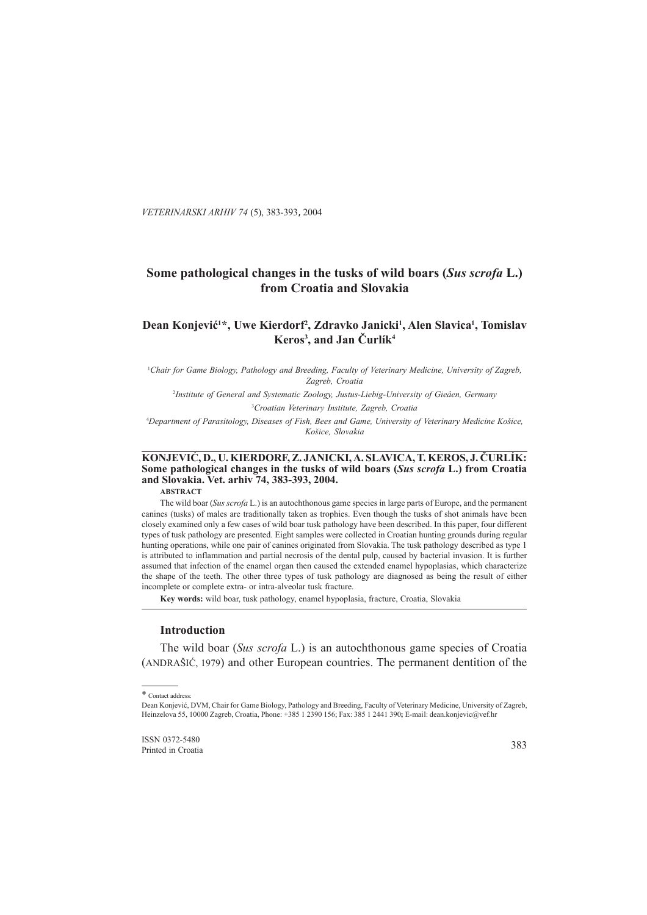*VETERINARSKI ARHIV 74* (5), 383-393, 2004

# **Some pathological changes in the tusks of wild boars (***Sus scrofa* **L.) from Croatia and Slovakia**

# Dean Konjević<sup>1\*</sup>, Uwe Kierdorf<sup>2</sup>, Zdravko Janicki<sup>1</sup>, Alen Slavica<sup>1</sup>, Tomislav **Keros3 , and Jan Èurlík4**

1 *Chair for Game Biology, Pathology and Breeding, Faculty of Veterinary Medicine, University of Zagreb, Zagreb, Croatia*

2 *Institute of General and Systematic Zoology, Justus-Liebig-University of Gieâen, Germany* 3 *Croatian Veterinary Institute, Zagreb, Croatia*

4 *Department of Parasitology, Diseases of Fish, Bees and Game, University of Veterinary Medicine Košice, Košice, Slovakia*

# **KONJEVIÆ, D., U. KIERDORF, Z. JANICKI, A. SLAVICA, T. KEROS, J. ÈURLÍK: Some pathological changes in the tusks of wild boars (***Sus scrofa* **L.) from Croatia and Slovakia. Vet. arhiv 74, 383-393, 2004.**

**ABSTRACT**

The wild boar (*Sus scrofa* L.) is an autochthonous game species in large parts of Europe, and the permanent canines (tusks) of males are traditionally taken as trophies. Even though the tusks of shot animals have been closely examined only a few cases of wild boar tusk pathology have been described. In this paper, four different types of tusk pathology are presented. Eight samples were collected in Croatian hunting grounds during regular hunting operations, while one pair of canines originated from Slovakia. The tusk pathology described as type 1 is attributed to inflammation and partial necrosis of the dental pulp, caused by bacterial invasion. It is further assumed that infection of the enamel organ then caused the extended enamel hypoplasias, which characterize the shape of the teeth. The other three types of tusk pathology are diagnosed as being the result of either incomplete or complete extra- or intra-alveolar tusk fracture.

**Key words:** wild boar, tusk pathology, enamel hypoplasia, fracture, Croatia, Slovakia

#### **Introduction**

The wild boar (*Sus scrofa* L.) is an autochthonous game species of Croatia (ANDRAŠIĆ, 1979) and other European countries. The permanent dentition of the

ISSN 0372-5480 Printed in Croatia

<sup>\*</sup> Contact address:

Dean Konjević, DVM, Chair for Game Biology, Pathology and Breeding, Faculty of Veterinary Medicine, University of Zagreb, Heinzelova 55, 10000 Zagreb, Croatia, Phone: +385 1 2390 156; Fax: 385 1 2441 390**;** E-mail: dean.konjevic@vef.hr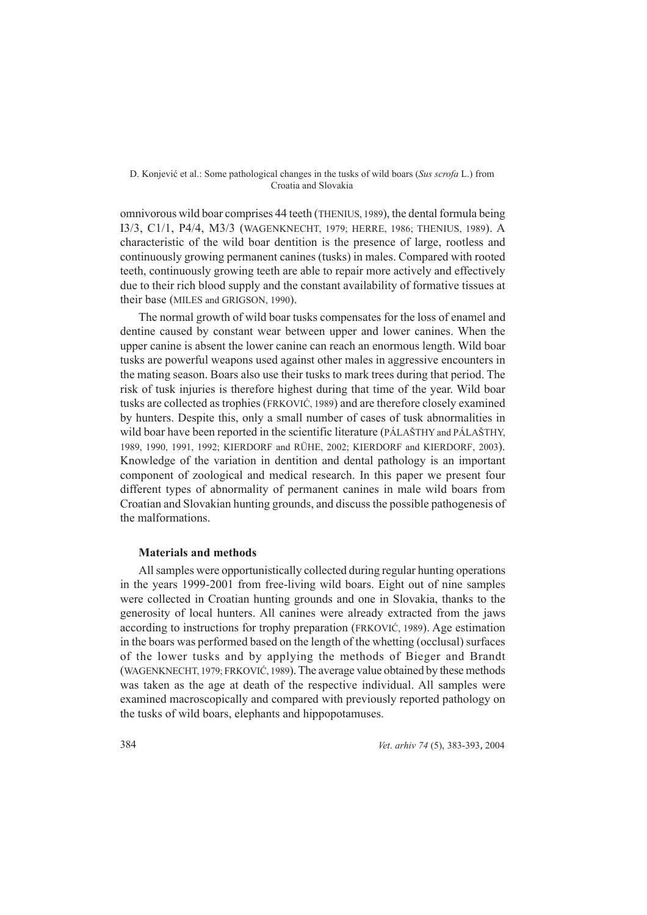omnivorous wild boar comprises 44 teeth (THENIUS, 1989), the dental formula being I3/3, C1/1, P4/4, M3/3 (WAGENKNECHT, 1979; HERRE, 1986; THENIUS, 1989). A characteristic of the wild boar dentition is the presence of large, rootless and continuously growing permanent canines (tusks) in males. Compared with rooted teeth, continuously growing teeth are able to repair more actively and effectively due to their rich blood supply and the constant availability of formative tissues at their base (MILES and GRIGSON, 1990).

The normal growth of wild boar tusks compensates for the loss of enamel and dentine caused by constant wear between upper and lower canines. When the upper canine is absent the lower canine can reach an enormous length. Wild boar tusks are powerful weapons used against other males in aggressive encounters in the mating season. Boars also use their tusks to mark trees during that period. The risk of tusk injuries is therefore highest during that time of the year. Wild boar tusks are collected as trophies (FRKOVIĆ, 1989) and are therefore closely examined by hunters. Despite this, only a small number of cases of tusk abnormalities in wild boar have been reported in the scientific literature (PÁLAŠTHY and PÁLAŠTHY, 1989, 1990, 1991, 1992; KIERDORF and RÜHE, 2002; KIERDORF and KIERDORF, 2003). Knowledge of the variation in dentition and dental pathology is an important component of zoological and medical research. In this paper we present four different types of abnormality of permanent canines in male wild boars from Croatian and Slovakian hunting grounds, and discuss the possible pathogenesis of the malformations.

# **Materials and methods**

All samples were opportunistically collected during regular hunting operations in the years 1999-2001 from free-living wild boars. Eight out of nine samples were collected in Croatian hunting grounds and one in Slovakia, thanks to the generosity of local hunters. All canines were already extracted from the jaws according to instructions for trophy preparation (FRKOVIĆ, 1989). Age estimation in the boars was performed based on the length of the whetting (occlusal) surfaces of the lower tusks and by applying the methods of Bieger and Brandt (WAGENKNECHT, 1979; FRKOVIĆ, 1989). The average value obtained by these methods was taken as the age at death of the respective individual. All samples were examined macroscopically and compared with previously reported pathology on the tusks of wild boars, elephants and hippopotamuses.

384 *Vet*. *arhiv 74* (5), 383-393, 2004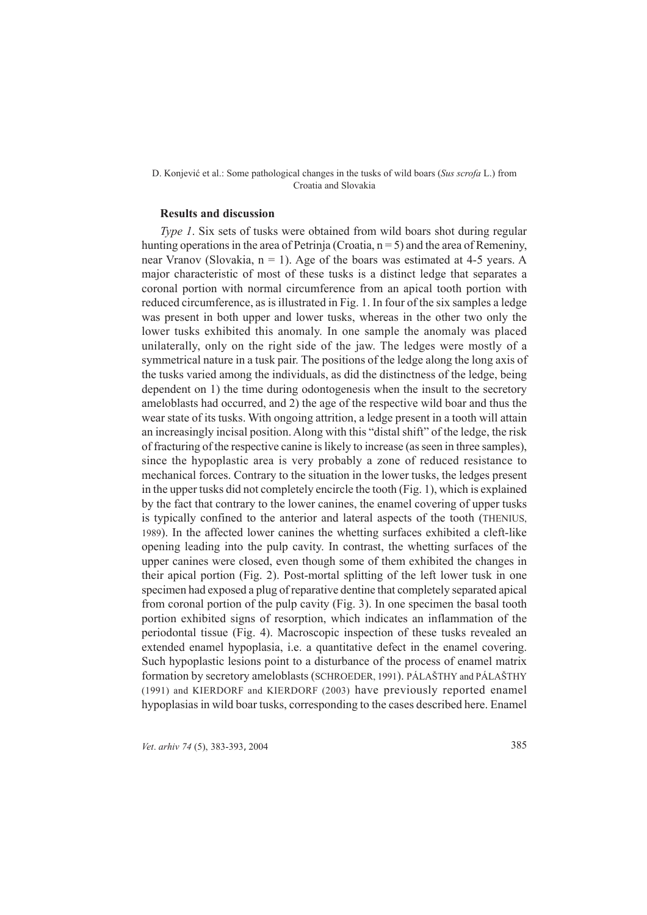## **Results and discussion**

*Type 1*. Six sets of tusks were obtained from wild boars shot during regular hunting operations in the area of Petrinia (Croatia,  $n = 5$ ) and the area of Remeniny, near Vranov (Slovakia,  $n = 1$ ). Age of the boars was estimated at 4-5 years. A major characteristic of most of these tusks is a distinct ledge that separates a coronal portion with normal circumference from an apical tooth portion with reduced circumference, as is illustrated in Fig. 1. In four of the six samples a ledge was present in both upper and lower tusks, whereas in the other two only the lower tusks exhibited this anomaly. In one sample the anomaly was placed unilaterally, only on the right side of the jaw. The ledges were mostly of a symmetrical nature in a tusk pair. The positions of the ledge along the long axis of the tusks varied among the individuals, as did the distinctness of the ledge, being dependent on 1) the time during odontogenesis when the insult to the secretory ameloblasts had occurred, and 2) the age of the respective wild boar and thus the wear state of its tusks. With ongoing attrition, a ledge present in a tooth will attain an increasingly incisal position. Along with this "distal shift" of the ledge, the risk of fracturing of the respective canine is likely to increase (as seen in three samples), since the hypoplastic area is very probably a zone of reduced resistance to mechanical forces. Contrary to the situation in the lower tusks, the ledges present in the upper tusks did not completely encircle the tooth (Fig. 1), which is explained by the fact that contrary to the lower canines, the enamel covering of upper tusks is typically confined to the anterior and lateral aspects of the tooth (THENIUS, 1989). In the affected lower canines the whetting surfaces exhibited a cleft-like opening leading into the pulp cavity. In contrast, the whetting surfaces of the upper canines were closed, even though some of them exhibited the changes in their apical portion (Fig. 2). Post-mortal splitting of the left lower tusk in one specimen had exposed a plug of reparative dentine that completely separated apical from coronal portion of the pulp cavity (Fig. 3). In one specimen the basal tooth portion exhibited signs of resorption, which indicates an inflammation of the periodontal tissue (Fig. 4). Macroscopic inspection of these tusks revealed an extended enamel hypoplasia, i.e. a quantitative defect in the enamel covering. Such hypoplastic lesions point to a disturbance of the process of enamel matrix formation by secretory ameloblasts (SCHROEDER, 1991). PÁLAŠTHY and PÁLAŠTHY (1991) and KIERDORF and KIERDORF (2003) have previously reported enamel hypoplasias in wild boar tusks, corresponding to the cases described here. Enamel

*Vet*. *arhiv 74* (5), 383-393, 2004 385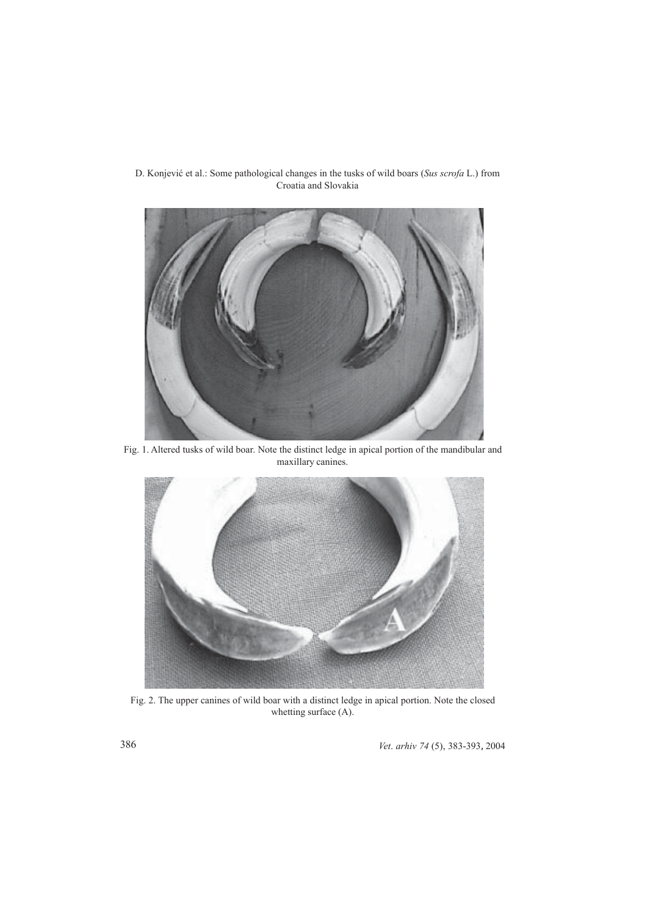

D. Konjeviæ et al.: Some pathological changes in the tusks of wild boars (*Sus scrofa* L.) from Croatia and Slovakia

Fig. 1. Altered tusks of wild boar. Note the distinct ledge in apical portion of the mandibular and maxillary canines.



Fig. 2. The upper canines of wild boar with a distinct ledge in apical portion. Note the closed whetting surface (A).

386 *Vet*. *arhiv 74* (5), 383-393, 2004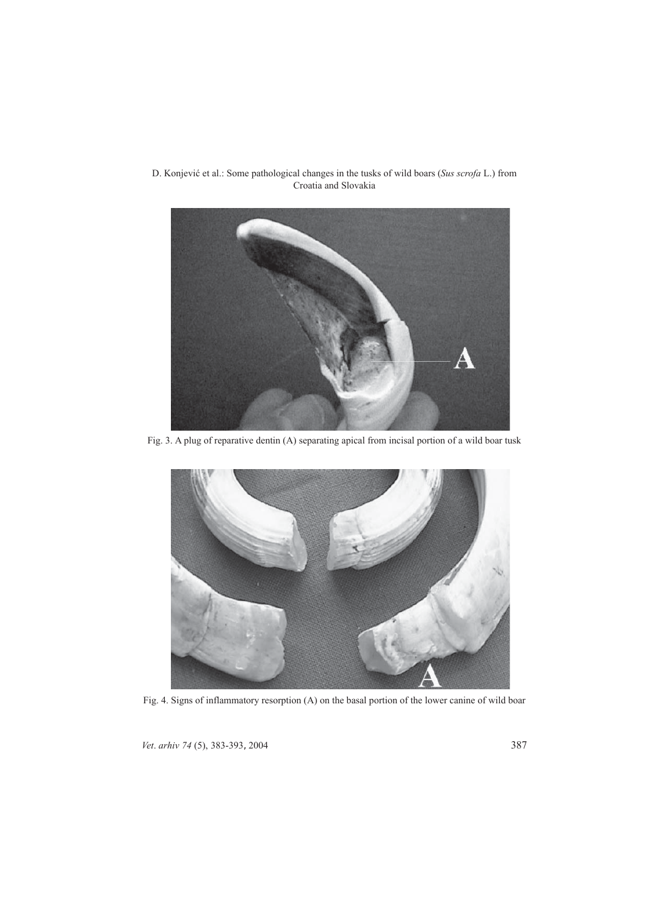

Fig. 3. A plug of reparative dentin (A) separating apical from incisal portion of a wild boar tusk



Fig. 4. Signs of inflammatory resorption (A) on the basal portion of the lower canine of wild boar

*Vet*. *arhiv 74* (5), 383-393, 2004 387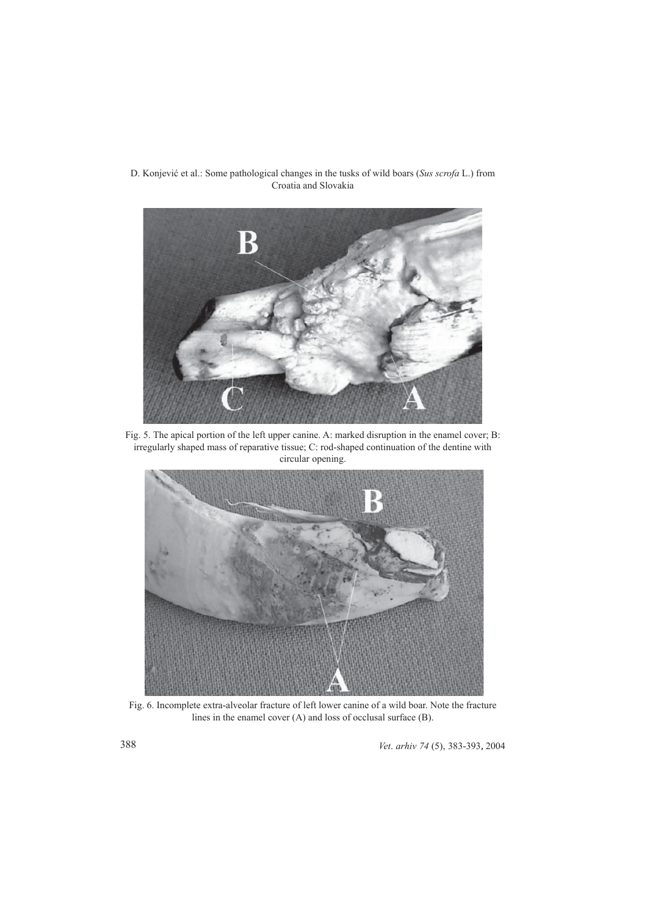

Fig. 5. The apical portion of the left upper canine. A: marked disruption in the enamel cover; B: irregularly shaped mass of reparative tissue; C: rod-shaped continuation of the dentine with circular opening.



Fig. 6. Incomplete extra-alveolar fracture of left lower canine of a wild boar. Note the fracture lines in the enamel cover (A) and loss of occlusal surface (B).

388 *Vet*. *arhiv 74* (5), 383-393, 2004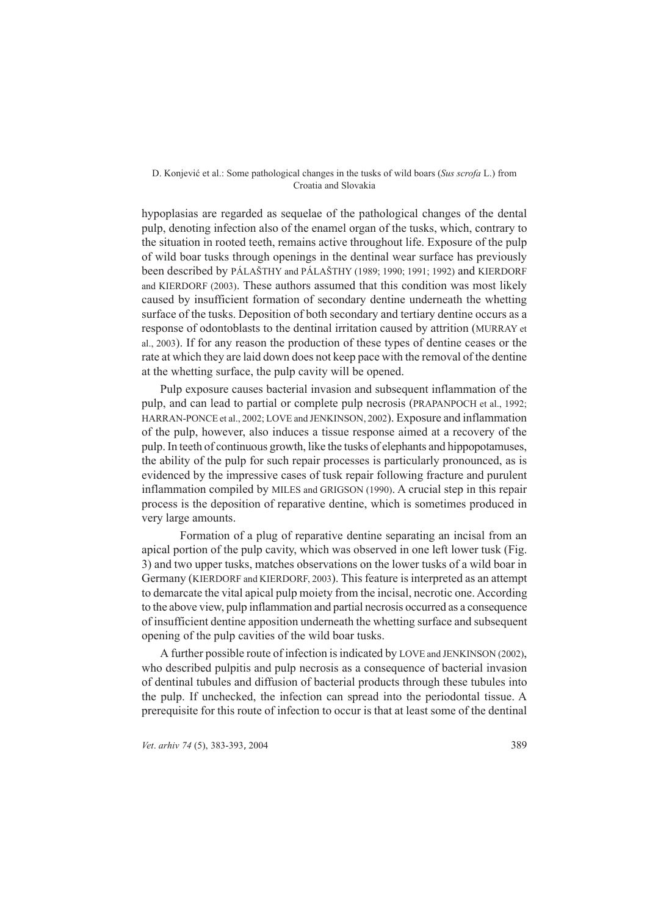hypoplasias are regarded as sequelae of the pathological changes of the dental pulp, denoting infection also of the enamel organ of the tusks, which, contrary to the situation in rooted teeth, remains active throughout life. Exposure of the pulp of wild boar tusks through openings in the dentinal wear surface has previously been described by PÁLAŠTHY and PÁLAŠTHY (1989; 1990; 1991; 1992) and KIERDORF and KIERDORF (2003). These authors assumed that this condition was most likely caused by insufficient formation of secondary dentine underneath the whetting surface of the tusks. Deposition of both secondary and tertiary dentine occurs as a response of odontoblasts to the dentinal irritation caused by attrition (MURRAY et al., 2003). If for any reason the production of these types of dentine ceases or the rate at which they are laid down does not keep pace with the removal of the dentine at the whetting surface, the pulp cavity will be opened.

Pulp exposure causes bacterial invasion and subsequent inflammation of the pulp, and can lead to partial or complete pulp necrosis (PRAPANPOCH et al., 1992; HARRAN-PONCE et al., 2002; LOVE and JENKINSON, 2002). Exposure and inflammation of the pulp, however, also induces a tissue response aimed at a recovery of the pulp. In teeth of continuous growth, like the tusks of elephants and hippopotamuses, the ability of the pulp for such repair processes is particularly pronounced, as is evidenced by the impressive cases of tusk repair following fracture and purulent inflammation compiled by MILES and GRIGSON (1990). A crucial step in this repair process is the deposition of reparative dentine, which is sometimes produced in very large amounts.

Formation of a plug of reparative dentine separating an incisal from an apical portion of the pulp cavity, which was observed in one left lower tusk (Fig. 3) and two upper tusks, matches observations on the lower tusks of a wild boar in Germany (KIERDORF and KIERDORF, 2003). This feature is interpreted as an attempt to demarcate the vital apical pulp moiety from the incisal, necrotic one. According to the above view, pulp inflammation and partial necrosis occurred as a consequence of insufficient dentine apposition underneath the whetting surface and subsequent opening of the pulp cavities of the wild boar tusks.

A further possible route of infection is indicated by LOVE and JENKINSON (2002), who described pulpitis and pulp necrosis as a consequence of bacterial invasion of dentinal tubules and diffusion of bacterial products through these tubules into the pulp. If unchecked, the infection can spread into the periodontal tissue. A prerequisite for this route of infection to occur is that at least some of the dentinal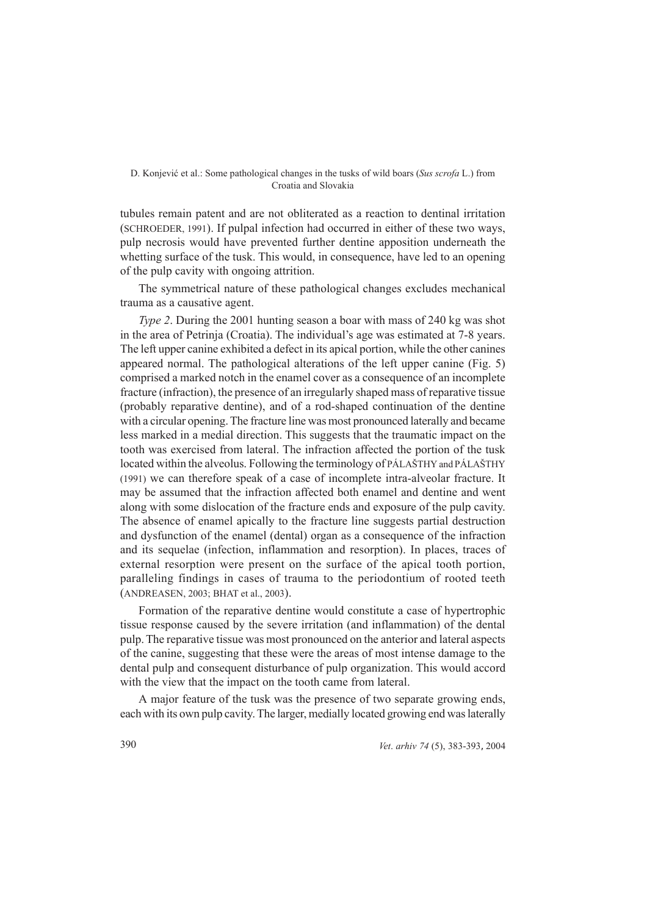tubules remain patent and are not obliterated as a reaction to dentinal irritation (SCHROEDER, 1991). If pulpal infection had occurred in either of these two ways, pulp necrosis would have prevented further dentine apposition underneath the whetting surface of the tusk. This would, in consequence, have led to an opening of the pulp cavity with ongoing attrition.

The symmetrical nature of these pathological changes excludes mechanical trauma as a causative agent.

*Type 2.* During the 2001 hunting season a boar with mass of 240 kg was shot in the area of Petrinja (Croatia). The individual's age was estimated at 7-8 years. The left upper canine exhibited a defect in its apical portion, while the other canines appeared normal. The pathological alterations of the left upper canine (Fig. 5) comprised a marked notch in the enamel cover as a consequence of an incomplete fracture (infraction), the presence of an irregularly shaped mass of reparative tissue (probably reparative dentine), and of a rod-shaped continuation of the dentine with a circular opening. The fracture line was most pronounced laterally and became less marked in a medial direction. This suggests that the traumatic impact on the tooth was exercised from lateral. The infraction affected the portion of the tusk located within the alveolus. Following the terminology of PÁLAŠTHY and PÁLAŠTHY (1991) we can therefore speak of a case of incomplete intra-alveolar fracture. It may be assumed that the infraction affected both enamel and dentine and went along with some dislocation of the fracture ends and exposure of the pulp cavity. The absence of enamel apically to the fracture line suggests partial destruction and dysfunction of the enamel (dental) organ as a consequence of the infraction and its sequelae (infection, inflammation and resorption). In places, traces of external resorption were present on the surface of the apical tooth portion, paralleling findings in cases of trauma to the periodontium of rooted teeth (ANDREASEN, 2003; BHAT et al., 2003).

Formation of the reparative dentine would constitute a case of hypertrophic tissue response caused by the severe irritation (and inflammation) of the dental pulp. The reparative tissue was most pronounced on the anterior and lateral aspects of the canine, suggesting that these were the areas of most intense damage to the dental pulp and consequent disturbance of pulp organization. This would accord with the view that the impact on the tooth came from lateral.

A major feature of the tusk was the presence of two separate growing ends, each with its own pulp cavity. The larger, medially located growing end was laterally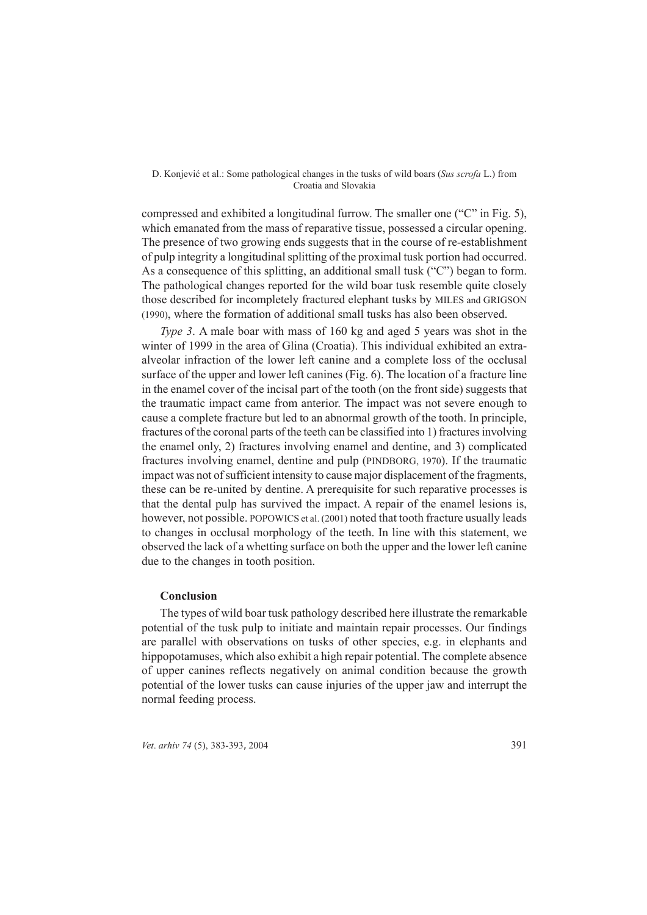compressed and exhibited a longitudinal furrow. The smaller one ("C" in Fig. 5), which emanated from the mass of reparative tissue, possessed a circular opening. The presence of two growing ends suggests that in the course of re-establishment of pulp integrity a longitudinal splitting of the proximal tusk portion had occurred. As a consequence of this splitting, an additional small tusk ("C") began to form. The pathological changes reported for the wild boar tusk resemble quite closely those described for incompletely fractured elephant tusks by MILES and GRIGSON (1990), where the formation of additional small tusks has also been observed.

*Type 3.* A male boar with mass of 160 kg and aged 5 years was shot in the winter of 1999 in the area of Glina (Croatia). This individual exhibited an extraalveolar infraction of the lower left canine and a complete loss of the occlusal surface of the upper and lower left canines (Fig. 6). The location of a fracture line in the enamel cover of the incisal part of the tooth (on the front side) suggests that the traumatic impact came from anterior. The impact was not severe enough to cause a complete fracture but led to an abnormal growth of the tooth. In principle, fractures of the coronal parts of the teeth can be classified into 1) fractures involving the enamel only, 2) fractures involving enamel and dentine, and 3) complicated fractures involving enamel, dentine and pulp (PINDBORG, 1970). If the traumatic impact was not of sufficient intensity to cause major displacement of the fragments, these can be re-united by dentine. A prerequisite for such reparative processes is that the dental pulp has survived the impact. A repair of the enamel lesions is, however, not possible. POPOWICS et al. (2001) noted that tooth fracture usually leads to changes in occlusal morphology of the teeth. In line with this statement, we observed the lack of a whetting surface on both the upper and the lower left canine due to the changes in tooth position.

## **Conclusion**

The types of wild boar tusk pathology described here illustrate the remarkable potential of the tusk pulp to initiate and maintain repair processes. Our findings are parallel with observations on tusks of other species, e.g. in elephants and hippopotamuses, which also exhibit a high repair potential. The complete absence of upper canines reflects negatively on animal condition because the growth potential of the lower tusks can cause injuries of the upper jaw and interrupt the normal feeding process.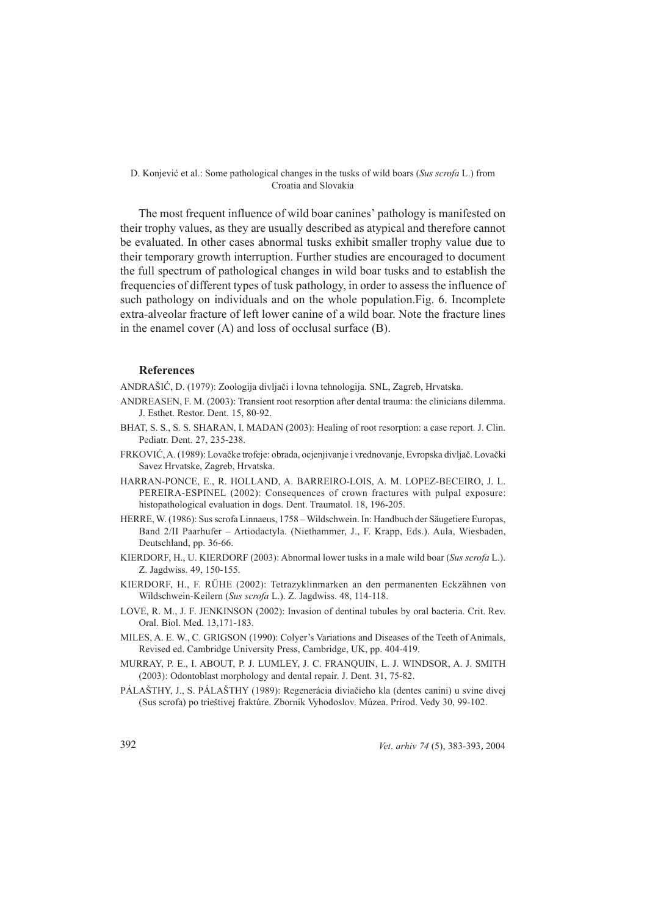The most frequent influence of wild boar canines' pathology is manifested on their trophy values, as they are usually described as atypical and therefore cannot be evaluated. In other cases abnormal tusks exhibit smaller trophy value due to their temporary growth interruption. Further studies are encouraged to document the full spectrum of pathological changes in wild boar tusks and to establish the frequencies of different types of tusk pathology, in order to assess the influence of such pathology on individuals and on the whole population.Fig. 6. Incomplete extra-alveolar fracture of left lower canine of a wild boar. Note the fracture lines in the enamel cover (A) and loss of occlusal surface (B).

## **References**

ANDRAŠIÆ, D. (1979): Zoologija divljaèi i lovna tehnologija. SNL, Zagreb, Hrvatska.

- ANDREASEN, F. M. (2003): Transient root resorption after dental trauma: the clinicians dilemma. J. Esthet. Restor. Dent. 15, 80-92.
- BHAT, S. S., S. S. SHARAN, I. MADAN (2003): Healing of root resorption: a case report. J. Clin. Pediatr. Dent. 27, 235-238.
- FRKOVIÆ, A. (1989): Lovaèke trofeje: obrada, ocjenjivanje i vrednovanje, Evropska divljaè. Lovaèki Savez Hrvatske, Zagreb, Hrvatska.
- HARRAN-PONCE, E., R. HOLLAND, A. BARREIRO-LOIS, A. M. LOPEZ-BECEIRO, J. L. PEREIRA-ESPINEL (2002): Consequences of crown fractures with pulpal exposure: histopathological evaluation in dogs. Dent. Traumatol. 18, 196-205.
- HERRE, W. (1986): Sus scrofa Linnaeus, 1758 Wildschwein. In: Handbuch der Säugetiere Europas, Band 2/II Paarhufer – Artiodactyla. (Niethammer, J., F. Krapp, Eds.). Aula, Wiesbaden, Deutschland, pp. 36-66.
- KIERDORF, H., U. KIERDORF (2003): Abnormal lower tusks in a male wild boar (*Sus scrofa* L.). Z. Jagdwiss. 49, 150-155.
- KIERDORF, H., F. RÜHE (2002): Tetrazyklinmarken an den permanenten Eckzähnen von Wildschwein-Keilern (*Sus scrofa* L.). Z. Jagdwiss. 48, 114-118.
- LOVE, R. M., J. F. JENKINSON (2002): Invasion of dentinal tubules by oral bacteria. Crit. Rev. Oral. Biol. Med. 13,171-183.
- MILES, A. E. W., C. GRIGSON (1990): Colyer's Variations and Diseases of the Teeth of Animals, Revised ed. Cambridge University Press, Cambridge, UK, pp. 404-419.
- MURRAY, P. E., I. ABOUT, P. J. LUMLEY, J. C. FRANQUIN, L. J. WINDSOR, A. J. SMITH (2003): Odontoblast morphology and dental repair. J. Dent. 31, 75-82.
- PÁLAŠTHY, J., S. PÁLAŠTHY (1989): Regenerácia diviaèieho kla (dentes canini) u svine divej (Sus scrofa) po trieštivej fraktúre. Zborník Vyhodoslov. Múzea. Prírod. Vedy 30, 99-102.